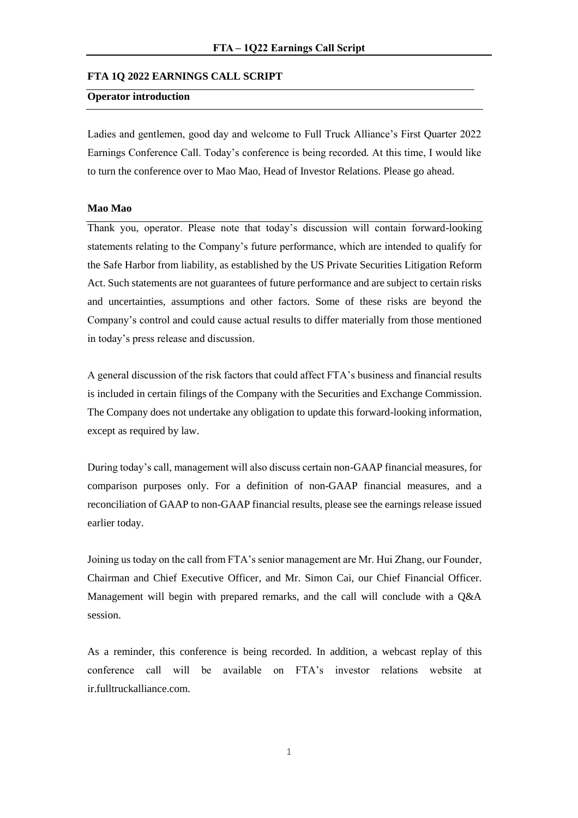## **FTA 1Q 2022 EARNINGS CALL SCRIPT**

# **Operator introduction**

Ladies and gentlemen, good day and welcome to Full Truck Alliance's First Quarter 2022 Earnings Conference Call. Today's conference is being recorded. At this time, I would like to turn the conference over to Mao Mao, Head of Investor Relations. Please go ahead.

## **Mao Mao**

Thank you, operator. Please note that today's discussion will contain forward-looking statements relating to the Company's future performance, which are intended to qualify for the Safe Harbor from liability, as established by the US Private Securities Litigation Reform Act. Such statements are not guarantees of future performance and are subject to certain risks and uncertainties, assumptions and other factors. Some of these risks are beyond the Company's control and could cause actual results to differ materially from those mentioned in today's press release and discussion.

A general discussion of the risk factors that could affect FTA's business and financial results is included in certain filings of the Company with the Securities and Exchange Commission. The Company does not undertake any obligation to update this forward-looking information, except as required by law.

During today's call, management will also discuss certain non-GAAP financial measures, for comparison purposes only. For a definition of non-GAAP financial measures, and a reconciliation of GAAP to non-GAAP financial results, please see the earnings release issued earlier today.

Joining us today on the call from FTA's senior management are Mr. Hui Zhang, our Founder, Chairman and Chief Executive Officer, and Mr. Simon Cai, our Chief Financial Officer. Management will begin with prepared remarks, and the call will conclude with a Q&A session.

As a reminder, this conference is being recorded. In addition, a webcast replay of this conference call will be available on FTA's investor relations website at ir.fulltruckalliance.com.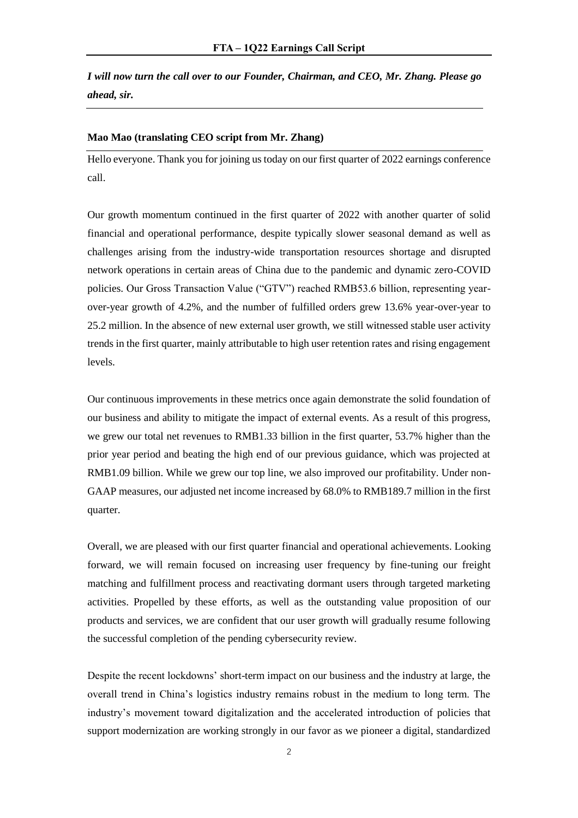*I will now turn the call over to our Founder, Chairman, and CEO, Mr. Zhang. Please go ahead, sir.* 

#### **Mao Mao (translating CEO script from Mr. Zhang)**

Hello everyone. Thank you for joining us today on our first quarter of 2022 earnings conference call.

Our growth momentum continued in the first quarter of 2022 with another quarter of solid financial and operational performance, despite typically slower seasonal demand as well as challenges arising from the industry-wide transportation resources shortage and disrupted network operations in certain areas of China due to the pandemic and dynamic zero-COVID policies. Our Gross Transaction Value ("GTV") reached RMB53.6 billion, representing yearover-year growth of 4.2%, and the number of fulfilled orders grew 13.6% year-over-year to 25.2 million. In the absence of new external user growth, we still witnessed stable user activity trends in the first quarter, mainly attributable to high user retention rates and rising engagement levels.

Our continuous improvements in these metrics once again demonstrate the solid foundation of our business and ability to mitigate the impact of external events. As a result of this progress, we grew our total net revenues to RMB1.33 billion in the first quarter, 53.7% higher than the prior year period and beating the high end of our previous guidance, which was projected at RMB1.09 billion. While we grew our top line, we also improved our profitability. Under non-GAAP measures, our adjusted net income increased by 68.0% to RMB189.7 million in the first quarter.

Overall, we are pleased with our first quarter financial and operational achievements. Looking forward, we will remain focused on increasing user frequency by fine-tuning our freight matching and fulfillment process and reactivating dormant users through targeted marketing activities. Propelled by these efforts, as well as the outstanding value proposition of our products and services, we are confident that our user growth will gradually resume following the successful completion of the pending cybersecurity review.

Despite the recent lockdowns' short-term impact on our business and the industry at large, the overall trend in China's logistics industry remains robust in the medium to long term. The industry's movement toward digitalization and the accelerated introduction of policies that support modernization are working strongly in our favor as we pioneer a digital, standardized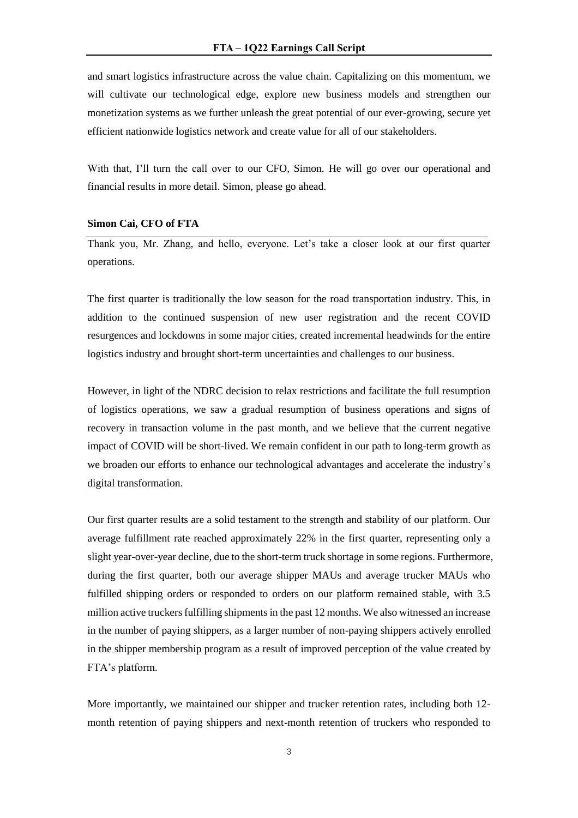and smart logistics infrastructure across the value chain. Capitalizing on this momentum, we will cultivate our technological edge, explore new business models and strengthen our monetization systems as we further unleash the great potential of our ever-growing, secure yet efficient nationwide logistics network and create value for all of our stakeholders.

With that, I'll turn the call over to our CFO, Simon. He will go over our operational and financial results in more detail. Simon, please go ahead.

## **Simon Cai, CFO of FTA**

Thank you, Mr. Zhang, and hello, everyone. Let's take a closer look at our first quarter operations.

The first quarter is traditionally the low season for the road transportation industry. This, in addition to the continued suspension of new user registration and the recent COVID resurgences and lockdowns in some major cities, created incremental headwinds for the entire logistics industry and brought short-term uncertainties and challenges to our business.

However, in light of the NDRC decision to relax restrictions and facilitate the full resumption of logistics operations, we saw a gradual resumption of business operations and signs of recovery in transaction volume in the past month, and we believe that the current negative impact of COVID will be short-lived. We remain confident in our path to long-term growth as we broaden our efforts to enhance our technological advantages and accelerate the industry's digital transformation.

Our first quarter results are a solid testament to the strength and stability of our platform. Our average fulfillment rate reached approximately 22% in the first quarter, representing only a slight year-over-year decline, due to the short-term truck shortage in some regions. Furthermore, during the first quarter, both our average shipper MAUs and average trucker MAUs who fulfilled shipping orders or responded to orders on our platform remained stable, with 3.5 million active truckers fulfilling shipments in the past 12 months. We also witnessed an increase in the number of paying shippers, as a larger number of non-paying shippers actively enrolled in the shipper membership program as a result of improved perception of the value created by FTA's platform.

More importantly, we maintained our shipper and trucker retention rates, including both 12 month retention of paying shippers and next-month retention of truckers who responded to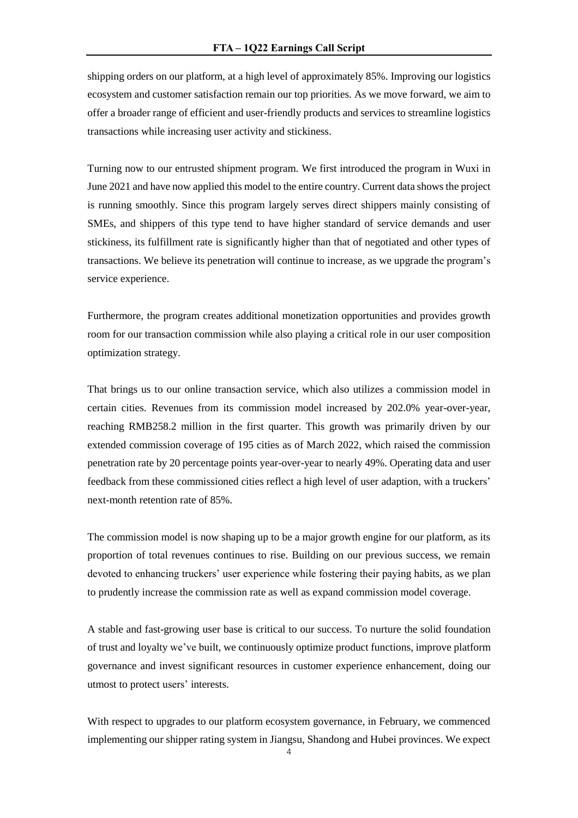shipping orders on our platform, at a high level of approximately 85%. Improving our logistics ecosystem and customer satisfaction remain our top priorities. As we move forward, we aim to offer a broader range of efficient and user-friendly products and services to streamline logistics transactions while increasing user activity and stickiness.

Turning now to our entrusted shipment program. We first introduced the program in Wuxi in June 2021 and have now applied this model to the entire country. Current data shows the project is running smoothly. Since this program largely serves direct shippers mainly consisting of SMEs, and shippers of this type tend to have higher standard of service demands and user stickiness, its fulfillment rate is significantly higher than that of negotiated and other types of transactions. We believe its penetration will continue to increase, as we upgrade the program's service experience.

Furthermore, the program creates additional monetization opportunities and provides growth room for our transaction commission while also playing a critical role in our user composition optimization strategy.

That brings us to our online transaction service, which also utilizes a commission model in certain cities. Revenues from its commission model increased by 202.0% year-over-year, reaching RMB258.2 million in the first quarter. This growth was primarily driven by our extended commission coverage of 195 cities as of March 2022, which raised the commission penetration rate by 20 percentage points year-over-year to nearly 49%. Operating data and user feedback from these commissioned cities reflect a high level of user adaption, with a truckers' next-month retention rate of 85%.

The commission model is now shaping up to be a major growth engine for our platform, as its proportion of total revenues continues to rise. Building on our previous success, we remain devoted to enhancing truckers' user experience while fostering their paying habits, as we plan to prudently increase the commission rate as well as expand commission model coverage.

A stable and fast-growing user base is critical to our success. To nurture the solid foundation of trust and loyalty we've built, we continuously optimize product functions, improve platform governance and invest significant resources in customer experience enhancement, doing our utmost to protect users' interests.

With respect to upgrades to our platform ecosystem governance, in February, we commenced implementing our shipper rating system in Jiangsu, Shandong and Hubei provinces. We expect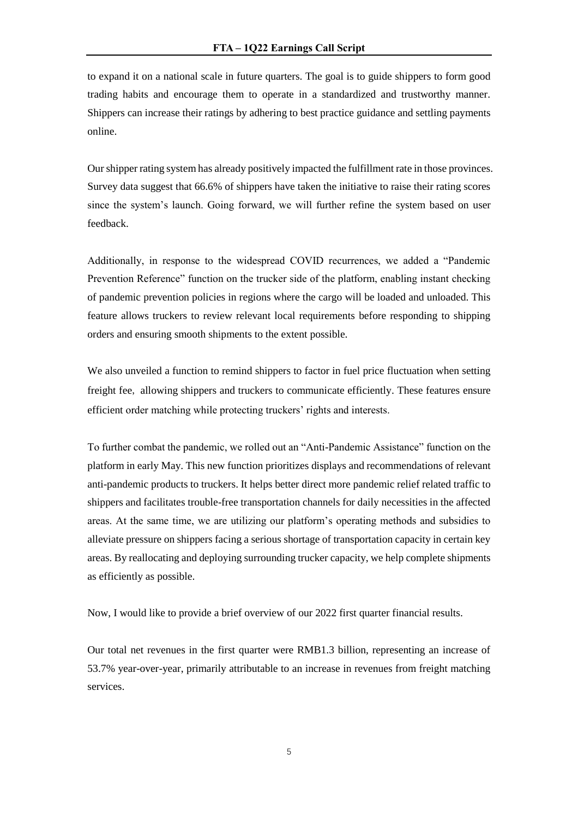to expand it on a national scale in future quarters. The goal is to guide shippers to form good trading habits and encourage them to operate in a standardized and trustworthy manner. Shippers can increase their ratings by adhering to best practice guidance and settling payments online.

Our shipper rating system has already positively impacted the fulfillment rate in those provinces. Survey data suggest that 66.6% of shippers have taken the initiative to raise their rating scores since the system's launch. Going forward, we will further refine the system based on user feedback.

Additionally, in response to the widespread COVID recurrences, we added a "Pandemic Prevention Reference" function on the trucker side of the platform, enabling instant checking of pandemic prevention policies in regions where the cargo will be loaded and unloaded. This feature allows truckers to review relevant local requirements before responding to shipping orders and ensuring smooth shipments to the extent possible.

We also unveiled a function to remind shippers to factor in fuel price fluctuation when setting freight fee, allowing shippers and truckers to communicate efficiently. These features ensure efficient order matching while protecting truckers' rights and interests.

To further combat the pandemic, we rolled out an "Anti-Pandemic Assistance" function on the platform in early May. This new function prioritizes displays and recommendations of relevant anti-pandemic products to truckers. It helps better direct more pandemic relief related traffic to shippers and facilitates trouble-free transportation channels for daily necessities in the affected areas. At the same time, we are utilizing our platform's operating methods and subsidies to alleviate pressure on shippers facing a serious shortage of transportation capacity in certain key areas. By reallocating and deploying surrounding trucker capacity, we help complete shipments as efficiently as possible.

Now, I would like to provide a brief overview of our 2022 first quarter financial results.

Our total net revenues in the first quarter were RMB1.3 billion, representing an increase of 53.7% year-over-year, primarily attributable to an increase in revenues from freight matching services.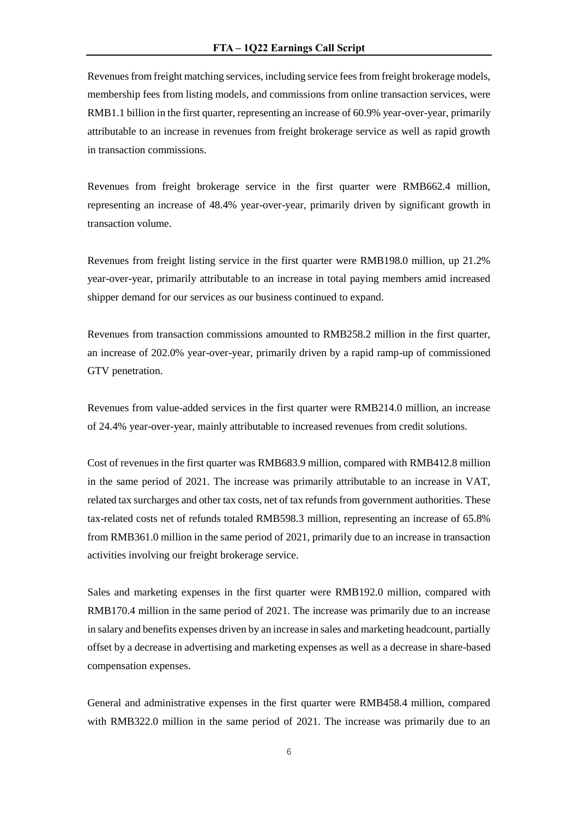Revenues from freight matching services, including service fees from freight brokerage models, membership fees from listing models, and commissions from online transaction services, were RMB1.1 billion in the first quarter, representing an increase of 60.9% year-over-year, primarily attributable to an increase in revenues from freight brokerage service as well as rapid growth in transaction commissions.

Revenues from freight brokerage service in the first quarter were RMB662.4 million, representing an increase of 48.4% year-over-year, primarily driven by significant growth in transaction volume.

Revenues from freight listing service in the first quarter were RMB198.0 million, up 21.2% year-over-year, primarily attributable to an increase in total paying members amid increased shipper demand for our services as our business continued to expand.

Revenues from transaction commissions amounted to RMB258.2 million in the first quarter, an increase of 202.0% year-over-year, primarily driven by a rapid ramp-up of commissioned GTV penetration.

Revenues from value-added services in the first quarter were RMB214.0 million, an increase of 24.4% year-over-year, mainly attributable to increased revenues from credit solutions.

Cost of revenues in the first quarter was RMB683.9 million, compared with RMB412.8 million in the same period of 2021. The increase was primarily attributable to an increase in VAT, related tax surcharges and other tax costs, net of tax refunds from government authorities. These tax-related costs net of refunds totaled RMB598.3 million, representing an increase of 65.8% from RMB361.0 million in the same period of 2021, primarily due to an increase in transaction activities involving our freight brokerage service.

Sales and marketing expenses in the first quarter were RMB192.0 million, compared with RMB170.4 million in the same period of 2021. The increase was primarily due to an increase in salary and benefits expenses driven by an increase in sales and marketing headcount, partially offset by a decrease in advertising and marketing expenses as well as a decrease in share-based compensation expenses.

General and administrative expenses in the first quarter were RMB458.4 million, compared with RMB322.0 million in the same period of 2021. The increase was primarily due to an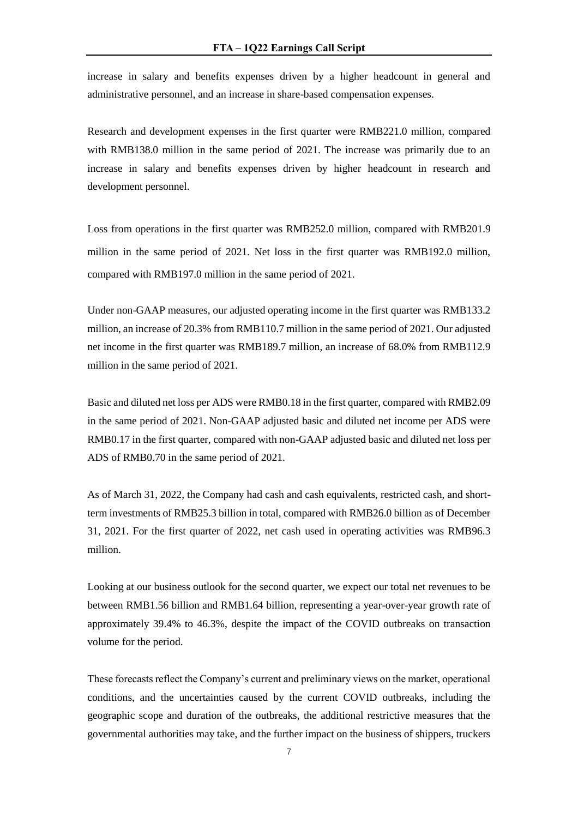increase in salary and benefits expenses driven by a higher headcount in general and administrative personnel, and an increase in share-based compensation expenses.

Research and development expenses in the first quarter were RMB221.0 million, compared with RMB138.0 million in the same period of 2021. The increase was primarily due to an increase in salary and benefits expenses driven by higher headcount in research and development personnel.

Loss from operations in the first quarter was RMB252.0 million, compared with RMB201.9 million in the same period of 2021. Net loss in the first quarter was RMB192.0 million, compared with RMB197.0 million in the same period of 2021.

Under non-GAAP measures, our adjusted operating income in the first quarter was RMB133.2 million, an increase of 20.3% from RMB110.7 million in the same period of 2021. Our adjusted net income in the first quarter was RMB189.7 million, an increase of 68.0% from RMB112.9 million in the same period of 2021.

Basic and diluted net loss per ADS were RMB0.18 in the first quarter, compared with RMB2.09 in the same period of 2021. Non-GAAP adjusted basic and diluted net income per ADS were RMB0.17 in the first quarter, compared with non-GAAP adjusted basic and diluted net loss per ADS of RMB0.70 in the same period of 2021.

As of March 31, 2022, the Company had cash and cash equivalents, restricted cash, and shortterm investments of RMB25.3 billion in total, compared with RMB26.0 billion as of December 31, 2021. For the first quarter of 2022, net cash used in operating activities was RMB96.3 million.

Looking at our business outlook for the second quarter, we expect our total net revenues to be between RMB1.56 billion and RMB1.64 billion, representing a year-over-year growth rate of approximately 39.4% to 46.3%, despite the impact of the COVID outbreaks on transaction volume for the period.

These forecasts reflect the Company's current and preliminary views on the market, operational conditions, and the uncertainties caused by the current COVID outbreaks, including the geographic scope and duration of the outbreaks, the additional restrictive measures that the governmental authorities may take, and the further impact on the business of shippers, truckers